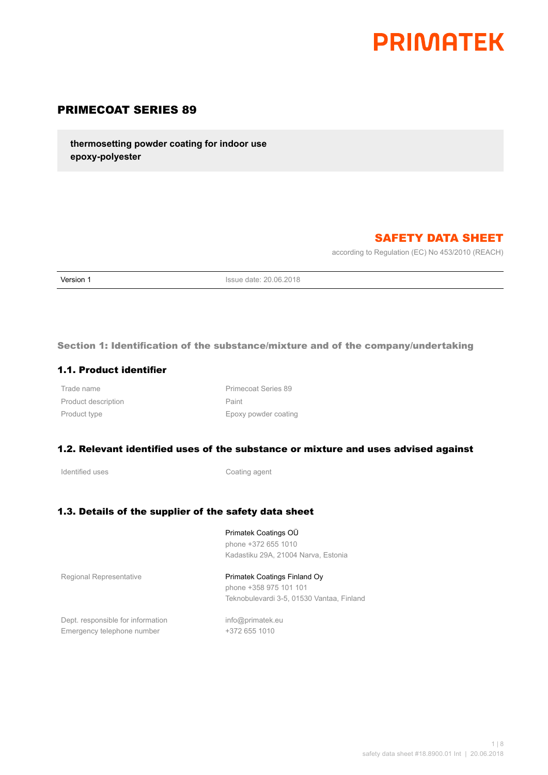

# PRIMECOAT SERIES 89

**thermosetting powder coating for indoor use epoxy-polyester**

# SAFETY DATA SHEET

according to Regulation (EC) No 453/2010 (REACH)

**Version 1 Issue date: 20.06.2018** 

Section 1: Identification of the substance/mixture and of the company/undertaking

#### 1.1. Product identifier

Product description **Paint** Paint

Trade name **Primecoat Series** 89 Product type **Epoxy** powder coating

#### 1.2. Relevant identified uses of the substance or mixture and uses advised against

Identified uses **Coating agent** 

#### 1.3. Details of the supplier of the safety data sheet

Primatek Coatings OÜ phone +372 655 1010 Kadastiku 29A, 21004 Narva, Estonia

Regional Representative **Primatek Coatings Finland Oy** phone +358 975 101 101 Teknobulevardi 3-5, 01530 Vantaa, Finland

Dept. responsible for information info@primatek.eu Emergency telephone number +372 655 1010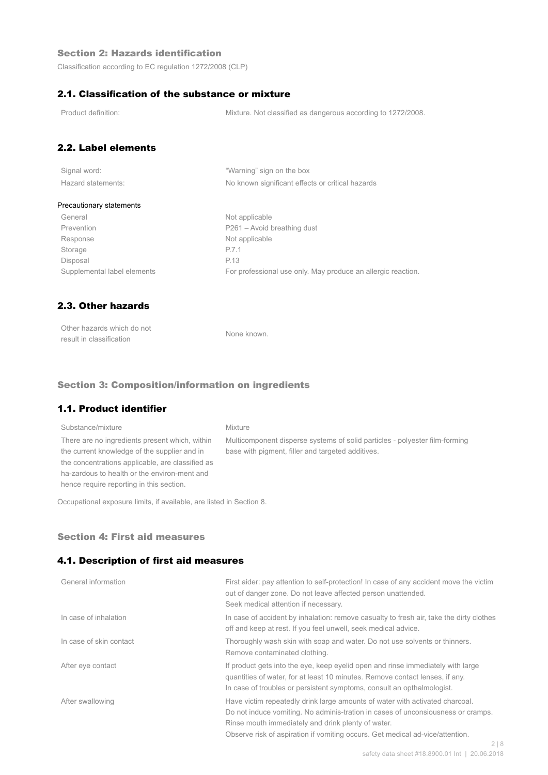## Section 2: Hazards identification

Classification according to EC regulation 1272/2008 (CLP)

## 2.1. Classification of the substance or mixture

Product definition: Mixture. Not classified as dangerous according to 1272/2008.

# 2.2. Label elements

| Signal word:       |  |
|--------------------|--|
| Hazard statements: |  |

"Warning" sign on the box No known significant effects or critical hazards

#### Precautionary statements

General Not applicable Prevention Prevention P261 – Avoid breathing dust Response Not applicable Storage P.7.1 Disposal P.13

Supplemental label elements For professional use only. May produce an allergic reaction.

# 2.3. Other hazards

| Other hazards which do not | None known. |
|----------------------------|-------------|
| result in classification   |             |

#### Section 3: Composition/information on ingredients

## 1.1. Product identifier

## Substance/mixture Mixture There are no ingredients present which, within the current knowledge of the supplier and in the concentrations applicable, are classified as ha-zardous to health or the environ-ment and hence require reporting in this section.

Multicomponent disperse systems of solid particles - polyester film-forming base with pigment, filler and targeted additives.

Occupational exposure limits, if available, are listed in Section 8.

#### Section 4: First aid measures

#### 4.1. Description of first aid measures

| General information     | First aider: pay attention to self-protection! In case of any accident move the victim<br>out of danger zone. Do not leave affected person unattended.<br>Seek medical attention if necessary.                                                                                                                        |
|-------------------------|-----------------------------------------------------------------------------------------------------------------------------------------------------------------------------------------------------------------------------------------------------------------------------------------------------------------------|
| In case of inhalation   | In case of accident by inhalation: remove casualty to fresh air, take the dirty clothes<br>off and keep at rest. If you feel unwell, seek medical advice.                                                                                                                                                             |
| In case of skin contact | Thoroughly wash skin with soap and water. Do not use solvents or thinners.<br>Remove contaminated clothing.                                                                                                                                                                                                           |
| After eye contact       | If product gets into the eye, keep eyelid open and rinse immediately with large<br>guantities of water, for at least 10 minutes. Remove contact lenses, if any.<br>In case of troubles or persistent symptoms, consult an opthalmologist.                                                                             |
| After swallowing        | Have victim repeatedly drink large amounts of water with activated charcoal.<br>Do not induce vomiting. No adminis-tration in cases of unconsiousness or cramps.<br>Rinse mouth immediately and drink plenty of water.<br>Observe risk of aspiration if vomiting occurs. Get medical ad-vice/attention.<br>$\bigcirc$ |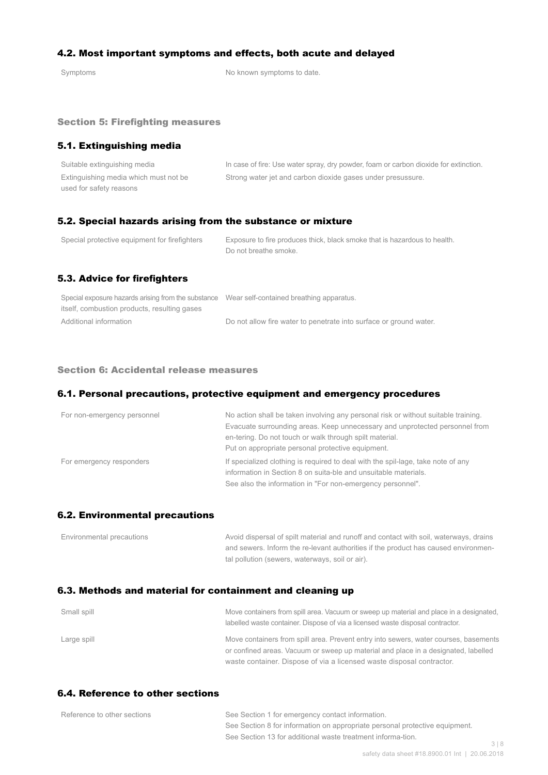## 4.2. Most important symptoms and effects, both acute and delayed

Symptoms Symptoms of the Symptoms to date.

#### Section 5: Firefighting measures

## 5.1. Extinguishing media

| Suitable extinguishing media          | In case of fire: Use water spray, dry powder, foam or carbon dioxide for extinction. |
|---------------------------------------|--------------------------------------------------------------------------------------|
| Extinguishing media which must not be | Strong water jet and carbon dioxide gases under presussure.                          |
| used for safety reasons               |                                                                                      |

### 5.2. Special hazards arising from the substance or mixture

| Special protective equipment for firefighters | Exposure to fire produces thick, black smoke that is hazardous to health.<br>Do not breathe smoke. |
|-----------------------------------------------|----------------------------------------------------------------------------------------------------|
| 5.3. Advice for firefighters                  |                                                                                                    |

| Special exposure hazards arising from the substance Wear self-contained breathing apparatus. |                                                                    |
|----------------------------------------------------------------------------------------------|--------------------------------------------------------------------|
| itself, combustion products, resulting gases                                                 |                                                                    |
| Additional information                                                                       | Do not allow fire water to penetrate into surface or ground water. |

#### Section 6: Accidental release measures

#### 6.1. Personal precautions, protective equipment and emergency procedures

| For non-emergency personnel | No action shall be taken involving any personal risk or without suitable training.<br>Evacuate surrounding areas. Keep unnecessary and unprotected personnel from<br>en-tering. Do not touch or walk through spilt material.<br>Put on appropriate personal protective equipment. |
|-----------------------------|-----------------------------------------------------------------------------------------------------------------------------------------------------------------------------------------------------------------------------------------------------------------------------------|
| For emergency responders    | If specialized clothing is required to deal with the spil-lage, take note of any<br>information in Section 8 on suita-ble and unsuitable materials.<br>See also the information in "For non-emergency personnel".                                                                 |

#### 6.2. Environmental precautions

| Environmental precautions | Avoid dispersal of spilt material and runoff and contact with soil, waterways, drains |
|---------------------------|---------------------------------------------------------------------------------------|
|                           | and sewers. Inform the re-levant authorities if the product has caused environmen-    |
|                           | tal pollution (sewers, waterways, soil or air).                                       |

## 6.3. Methods and material for containment and cleaning up

| Small spill | Move containers from spill area. Vacuum or sweep up material and place in a designated,<br>labelled waste container. Dispose of via a licensed waste disposal contractor.  |
|-------------|----------------------------------------------------------------------------------------------------------------------------------------------------------------------------|
| Large spill | Move containers from spill area. Prevent entry into sewers, water courses, basements<br>or confined areas. Vacuum or sweep up material and place in a designated, labelled |
|             | waste container. Dispose of via a licensed waste disposal contractor.                                                                                                      |

# 6.4. Reference to other sections

| Reference to other sections | See Section 1 for emergency contact information.                            |     |
|-----------------------------|-----------------------------------------------------------------------------|-----|
|                             | See Section 8 for information on appropriate personal protective equipment. |     |
|                             | See Section 13 for additional waste treatment informa-tion.                 |     |
|                             |                                                                             | 318 |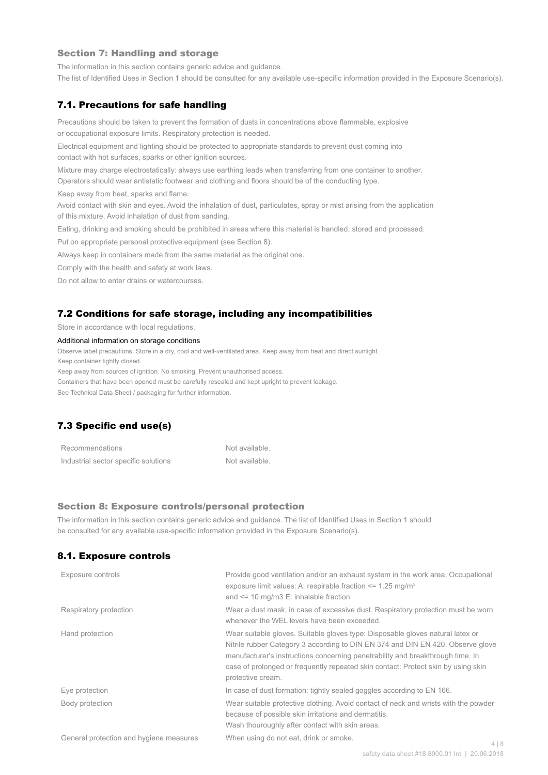#### Section 7: Handling and storage

The information in this section contains generic advice and guidance.

The list of Identified Uses in Section 1 should be consulted for any available use-specific information provided in the Exposure Scenario(s).

#### 7.1. Precautions for safe handling

Precautions should be taken to prevent the formation of dusts in concentrations above flammable, explosive or occupational exposure limits. Respiratory protection is needed.

Electrical equipment and lighting should be protected to appropriate standards to prevent dust coming into contact with hot surfaces, sparks or other ignition sources.

Mixture may charge electrostatically: always use earthing leads when transferring from one container to another.

Operators should wear antistatic footwear and clothing and floors should be of the conducting type.

Keep away from heat, sparks and flame.

Avoid contact with skin and eyes. Avoid the inhalation of dust, particulates, spray or mist arising from the application of this mixture. Avoid inhalation of dust from sanding.

Eating, drinking and smoking should be prohibited in areas where this material is handled, stored and processed.

Put on appropriate personal protective equipment (see Section 8).

Always keep in containers made from the same material as the original one.

Comply with the health and safety at work laws.

Do not allow to enter drains or watercourses.

#### 7.2 Conditions for safe storage, including any incompatibilities

Store in accordance with local regulations.

#### Additional information on storage conditions

Observe label precautions. Store in a dry, cool and well-ventilated area. Keep away from heat and direct sunlight.

Keep container tightly closed.

Keep away from sources of ignition. No smoking. Prevent unauthorised access.

Containers that have been opened must be carefully resealed and kept upright to prevent leakage.

See Technical Data Sheet / packaging for further information.

# 7.3 Specific end use(s)

| Recommendations                      | Not available. |
|--------------------------------------|----------------|
| Industrial sector specific solutions | Not available. |

#### Section 8: Exposure controls/personal protection

The information in this section contains generic advice and guidance. The list of Identified Uses in Section 1 should be consulted for any available use-specific information provided in the Exposure Scenario(s).

#### 8.1. Exposure controls

| Exposure controls                       | Provide good ventilation and/or an exhaust system in the work area. Occupational<br>exposure limit values: A: respirable fraction $\leq$ 1.25 mg/m <sup>3</sup><br>and $\le$ 10 mg/m3 E: inhalable fraction                                                                                                                                                   |       |
|-----------------------------------------|---------------------------------------------------------------------------------------------------------------------------------------------------------------------------------------------------------------------------------------------------------------------------------------------------------------------------------------------------------------|-------|
| Respiratory protection                  | Wear a dust mask, in case of excessive dust. Respiratory protection must be worn<br>whenever the WEL levels have been exceeded.                                                                                                                                                                                                                               |       |
| Hand protection                         | Wear suitable gloves. Suitable gloves type: Disposable gloves natural latex or<br>Nitrile rubber Category 3 according to DIN EN 374 and DIN EN 420. Observe glove<br>manufacturer's instructions concerning penetrability and breakthrough time. In<br>case of prolonged or frequently repeated skin contact: Protect skin by using skin<br>protective cream. |       |
| Eye protection                          | In case of dust formation: tightly sealed goggles according to EN 166.                                                                                                                                                                                                                                                                                        |       |
| Body protection                         | Wear suitable protective clothing. Avoid contact of neck and wrists with the powder<br>because of possible skin irritations and dermatitis.<br>Wash thouroughly after contact with skin areas.                                                                                                                                                                |       |
| General protection and hygiene measures | When using do not eat, drink or smoke.                                                                                                                                                                                                                                                                                                                        | 4   8 |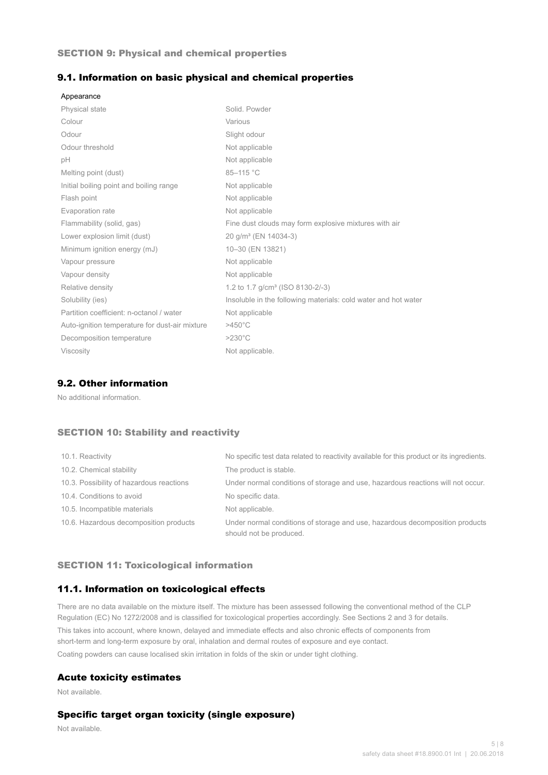#### SECTION 9: Physical and chemical properties

#### 9.1. Information on basic physical and chemical properties

| Appearance                                     |                                                                |
|------------------------------------------------|----------------------------------------------------------------|
| <b>Physical state</b>                          | Solid, Powder                                                  |
| Colour                                         | Various                                                        |
| Odour                                          | Slight odour                                                   |
| Odour threshold                                | Not applicable                                                 |
| рH                                             | Not applicable                                                 |
| Melting point (dust)                           | 85-115 °C                                                      |
| Initial boiling point and boiling range        | Not applicable                                                 |
| Flash point                                    | Not applicable                                                 |
| Evaporation rate                               | Not applicable                                                 |
| Flammability (solid, gas)                      | Fine dust clouds may form explosive mixtures with air          |
| Lower explosion limit (dust)                   | 20 g/m <sup>3</sup> (EN 14034-3)                               |
| Minimum ignition energy (mJ)                   | 10-30 (EN 13821)                                               |
| Vapour pressure                                | Not applicable                                                 |
| Vapour density                                 | Not applicable                                                 |
| Relative density                               | 1.2 to 1.7 g/cm <sup>3</sup> (ISO 8130-2/-3)                   |
| Solubility (ies)                               | Insoluble in the following materials: cold water and hot water |
| Partition coefficient: n-octanol / water       | Not applicable                                                 |
| Auto-ignition temperature for dust-air mixture | $>450^{\circ}$ C                                               |
| Decomposition temperature                      | $>230^{\circ}$ C                                               |
| <b>Viscosity</b>                               | Not applicable.                                                |

## 9.2. Other information

No additional information.

## SECTION 10: Stability and reactivity

| 10.1. Reactivity                         | No specific test data related to reactivity available for this product or its ingredients.              |
|------------------------------------------|---------------------------------------------------------------------------------------------------------|
| 10.2. Chemical stability                 | The product is stable.                                                                                  |
| 10.3. Possibility of hazardous reactions | Under normal conditions of storage and use, hazardous reactions will not occur.                         |
| 10.4. Conditions to avoid                | No specific data.                                                                                       |
| 10.5. Incompatible materials             | Not applicable.                                                                                         |
| 10.6. Hazardous decomposition products   | Under normal conditions of storage and use, hazardous decomposition products<br>should not be produced. |

#### SECTION 11: Toxicological information

## 11.1. Information on toxicological effects

There are no data available on the mixture itself. The mixture has been assessed following the conventional method of the CLP Regulation (EC) No 1272/2008 and is classified for toxicological properties accordingly. See Sections 2 and 3 for details. This takes into account, where known, delayed and immediate effects and also chronic effects of components from short-term and long-term exposure by oral, inhalation and dermal routes of exposure and eye contact. Coating powders can cause localised skin irritation in folds of the skin or under tight clothing.

#### Acute toxicity estimates

Not available.

## Specific target organ toxicity (single exposure)

Not available.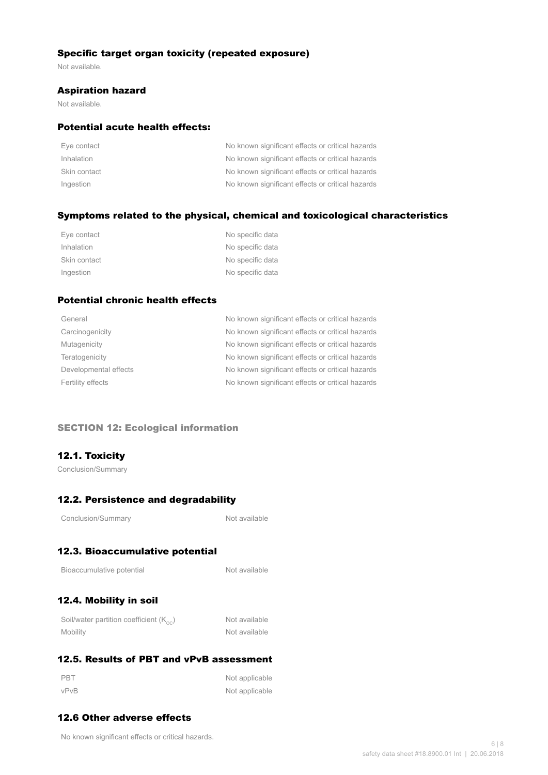## Specific target organ toxicity (repeated exposure)

Not available.

#### Aspiration hazard

Not available.

### Potential acute health effects:

| Eye contact  | No known significant effects or critical hazards |
|--------------|--------------------------------------------------|
| Inhalation   | No known significant effects or critical hazards |
| Skin contact | No known significant effects or critical hazards |
| Ingestion    | No known significant effects or critical hazards |

## Symptoms related to the physical, chemical and toxicological characteristics

| Eye contact  | No specific data |
|--------------|------------------|
| Inhalation   | No specific data |
| Skin contact | No specific data |
| Ingestion    | No specific data |

# Potential chronic health effects

| General               | No known significant effects or critical hazards |
|-----------------------|--------------------------------------------------|
| Carcinogenicity       | No known significant effects or critical hazards |
| Mutagenicity          | No known significant effects or critical hazards |
| Teratogenicity        | No known significant effects or critical hazards |
| Developmental effects | No known significant effects or critical hazards |
| Fertility effects     | No known significant effects or critical hazards |
|                       |                                                  |

### SECTION 12: Ecological information

## 12.1. Toxicity

Conclusion/Summary

# 12.2. Persistence and degradability

Not available

# 12.3. Bioaccumulative potential

| Bioaccumulative potential |  |
|---------------------------|--|
|---------------------------|--|

Not available

# 12.4. Mobility in soil

| Soil/water partition coefficient $(K_{\text{oc}})$ | Not available |
|----------------------------------------------------|---------------|
| Mobility                                           | Not available |

# 12.5. Results of PBT and vPvB assessment

| <b>PBT</b> | Not applicable |
|------------|----------------|
| vPvB       | Not applicable |

# 12.6 Other adverse effects

No known significant effects or critical hazards.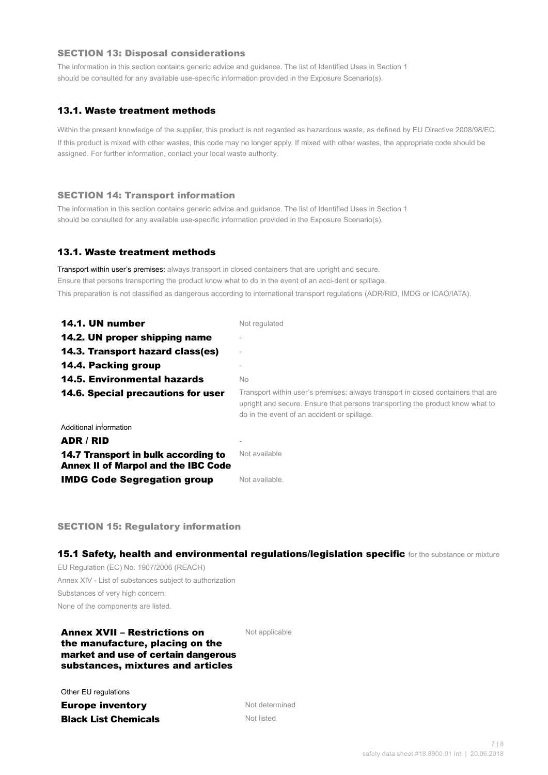#### SECTION 13: Disposal considerations

The information in this section contains generic advice and guidance. The list of Identified Uses in Section 1 should be consulted for any available use-specific information provided in the Exposure Scenario(s).

## 13.1. Waste treatment methods

Within the present knowledge of the supplier, this product is not regarded as hazardous waste, as defined by EU Directive 2008/98/EC. If this product is mixed with other wastes, this code may no longer apply. If mixed with other wastes, the appropriate code should be assigned. For further information, contact your local waste authority.

#### SECTION 14: Transport information

The information in this section contains generic advice and guidance. The list of Identified Uses in Section 1 should be consulted for any available use-specific information provided in the Exposure Scenario(s).

#### 13.1. Waste treatment methods

Transport within user's premises: always transport in closed containers that are upright and secure. Ensure that persons transporting the product know what to do in the event of an acci-dent or spillage. This preparation is not classified as dangerous according to international transport regulations (ADR/RID, IMDG or ICAO/IATA).

| 14.1. UN number                                                                   | Not regulated                                                                                                                                                                                                    |
|-----------------------------------------------------------------------------------|------------------------------------------------------------------------------------------------------------------------------------------------------------------------------------------------------------------|
| 14.2. UN proper shipping name                                                     |                                                                                                                                                                                                                  |
| 14.3. Transport hazard class(es)                                                  |                                                                                                                                                                                                                  |
| 14.4. Packing group                                                               |                                                                                                                                                                                                                  |
| <b>14.5. Environmental hazards</b>                                                | No.                                                                                                                                                                                                              |
| 14.6. Special precautions for user                                                | Transport within user's premises: always transport in closed containers that are<br>upright and secure. Ensure that persons transporting the product know what to<br>do in the event of an accident or spillage. |
| Additional information                                                            |                                                                                                                                                                                                                  |
| ADR / RID                                                                         |                                                                                                                                                                                                                  |
| 14.7 Transport in bulk according to<br><b>Annex II of Marpol and the IBC Code</b> | Not available                                                                                                                                                                                                    |
| <b>IMDG Code Segregation group</b>                                                | Not available.                                                                                                                                                                                                   |

SECTION 15: Regulatory information

15.1 Safety, health and environmental regulations/legislation specific for the substance or mixture

EU Regulation (EC) No. 1907/2006 (REACH) Annex XIV - List of substances subject to authorization Substances of very high concern: None of the components are listed.

### Annex XVII – Restrictions on the manufacture, placing on the market and use of certain dangerous substances, mixtures and articles

Not applicable

Other EU regulations

**Europe inventory** Not determined **Black List Chemicals** Not listed